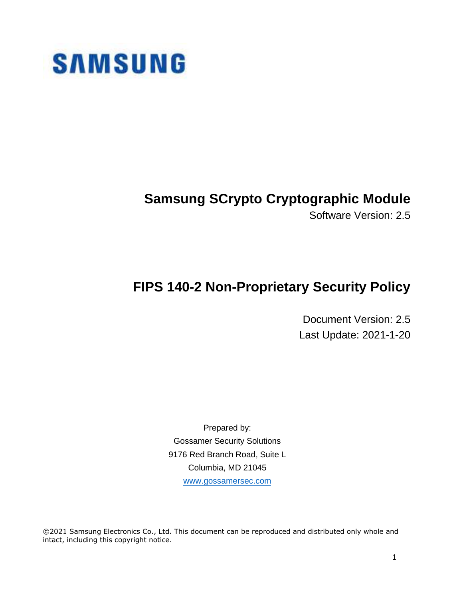

# **Samsung SCrypto Cryptographic Module**

Software Version: 2.5

# **FIPS 140-2 Non-Proprietary Security Policy**

Document Version: 2.5 Last Update: 2021-1-20

Prepared by: Gossamer Security Solutions 9176 Red Branch Road, Suite L Columbia, MD 21045 [www.gossamersec.com](http://www.gossamersec.com/)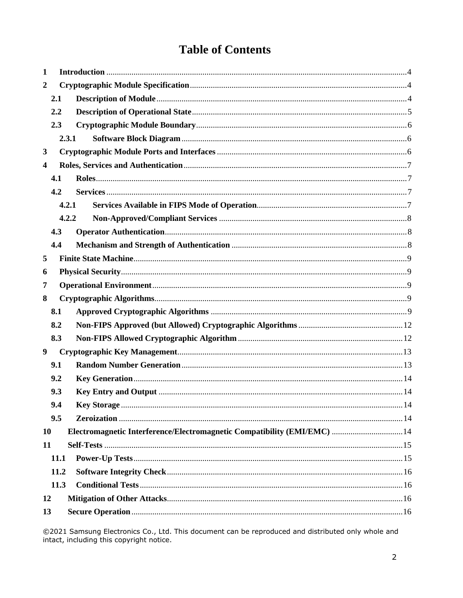# **Table of Contents**

| $\mathbf{1}$            |      |                                                                          |  |  |  |
|-------------------------|------|--------------------------------------------------------------------------|--|--|--|
| $\boldsymbol{2}$        |      |                                                                          |  |  |  |
|                         | 2.1  |                                                                          |  |  |  |
|                         | 2.2  |                                                                          |  |  |  |
|                         | 2.3  |                                                                          |  |  |  |
|                         |      | 2.3.1                                                                    |  |  |  |
| $\mathbf{3}$            |      |                                                                          |  |  |  |
| $\overline{\mathbf{4}}$ |      |                                                                          |  |  |  |
|                         | 4.1  |                                                                          |  |  |  |
|                         | 4.2  |                                                                          |  |  |  |
|                         |      | 4.2.1                                                                    |  |  |  |
|                         |      | 4.2.2                                                                    |  |  |  |
|                         | 4.3  |                                                                          |  |  |  |
|                         | 4.4  |                                                                          |  |  |  |
| 5                       |      |                                                                          |  |  |  |
| 6                       |      |                                                                          |  |  |  |
| 7                       |      |                                                                          |  |  |  |
| 8                       |      |                                                                          |  |  |  |
|                         | 8.1  |                                                                          |  |  |  |
|                         | 8.2  |                                                                          |  |  |  |
|                         | 8.3  |                                                                          |  |  |  |
| 9                       |      |                                                                          |  |  |  |
|                         | 9.1  |                                                                          |  |  |  |
|                         | 9.2  |                                                                          |  |  |  |
|                         | 9.3  |                                                                          |  |  |  |
|                         | 9.4  |                                                                          |  |  |  |
|                         | 9.5  |                                                                          |  |  |  |
| 10                      |      | Electromagnetic Interference/Electromagnetic Compatibility (EMI/EMC)  14 |  |  |  |
| 11                      |      |                                                                          |  |  |  |
|                         | 11.1 |                                                                          |  |  |  |
|                         | 11.2 |                                                                          |  |  |  |
|                         | 11.3 |                                                                          |  |  |  |
| 12                      |      |                                                                          |  |  |  |
| 13                      |      |                                                                          |  |  |  |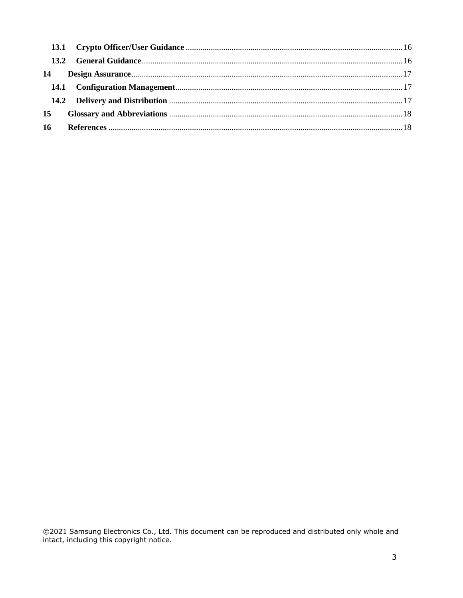| 14 |  |  |  |
|----|--|--|--|
|    |  |  |  |
|    |  |  |  |
| 15 |  |  |  |
| 16 |  |  |  |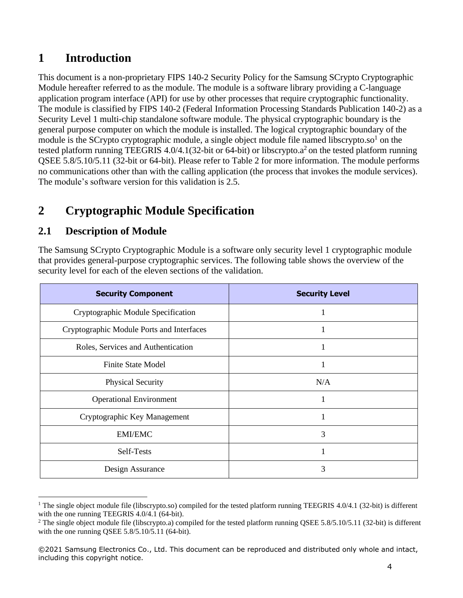## <span id="page-3-0"></span>**1 Introduction**

This document is a non-proprietary FIPS 140-2 Security Policy for the Samsung SCrypto Cryptographic Module hereafter referred to as the module. The module is a software library providing a C-language application program interface (API) for use by other processes that require cryptographic functionality. The module is classified by FIPS 140-2 (Federal Information Processing Standards Publication 140-2) as a Security Level 1 multi-chip standalone software module. The physical cryptographic boundary is the general purpose computer on which the module is installed. The logical cryptographic boundary of the module is the SCrypto cryptographic module, a single object module file named libscrypto.so<sup>1</sup> on the tested platform running TEEGRIS 4.0/4.1(32-bit or 64-bit) or libscrypto. $a^2$  on the tested platform running QSEE 5.8/5.10/5.11 (32-bit or 64-bit). Please refer to Table 2 for more information. The module performs no communications other than with the calling application (the process that invokes the module services). The module's software version for this validation is 2.5.

# <span id="page-3-1"></span>**2 Cryptographic Module Specification**

#### <span id="page-3-2"></span>**2.1 Description of Module**

The Samsung SCrypto Cryptographic Module is a software only security level 1 cryptographic module that provides general-purpose cryptographic services. The following table shows the overview of the security level for each of the eleven sections of the validation.

| <b>Security Component</b>                 | <b>Security Level</b> |
|-------------------------------------------|-----------------------|
| Cryptographic Module Specification        |                       |
| Cryptographic Module Ports and Interfaces |                       |
| Roles, Services and Authentication        | 1                     |
| <b>Finite State Model</b>                 |                       |
| <b>Physical Security</b>                  | N/A                   |
| <b>Operational Environment</b>            |                       |
| Cryptographic Key Management              |                       |
| <b>EMI/EMC</b>                            | 3                     |
| Self-Tests                                | 1                     |
| Design Assurance                          | 3                     |

<sup>&</sup>lt;sup>1</sup> The single object module file (libscrypto.so) compiled for the tested platform running TEEGRIS 4.0/4.1 (32-bit) is different with the one running TEEGRIS 4.0/4.1 (64-bit).

<sup>&</sup>lt;sup>2</sup> The single object module file (libscrypto.a) compiled for the tested platform running QSEE 5.8/5.10/5.11 (32-bit) is different with the one running QSEE 5.8/5.10/5.11 (64-bit).

<sup>©2021</sup> Samsung Electronics Co., Ltd. This document can be reproduced and distributed only whole and intact, including this copyright notice.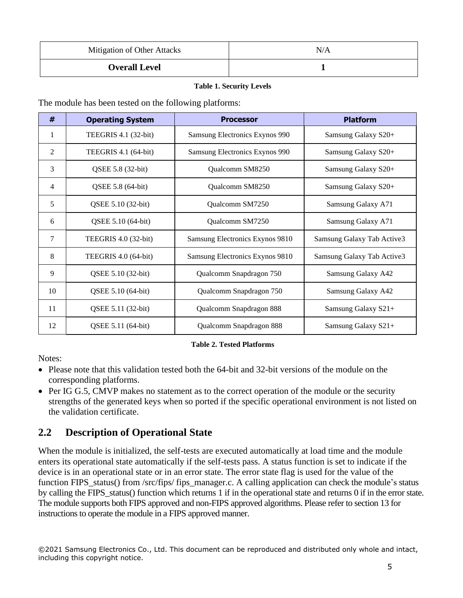| Mitigation of Other Attacks | N/A |
|-----------------------------|-----|
| <b>Overall Level</b>        |     |

#### **Table 1. Security Levels**

The module has been tested on the following platforms:

| #  | <b>Operating System</b> | <b>Processor</b>                | <b>Platform</b>            |
|----|-------------------------|---------------------------------|----------------------------|
| 1  | TEEGRIS 4.1 (32-bit)    | Samsung Electronics Exynos 990  | Samsung Galaxy S20+        |
| 2  | TEEGRIS 4.1 (64-bit)    | Samsung Electronics Exynos 990  | Samsung Galaxy S20+        |
| 3  | QSEE 5.8 (32-bit)       | Qualcomm SM8250                 | Samsung Galaxy S20+        |
| 4  | QSEE 5.8 (64-bit)       | Qualcomm SM8250                 | Samsung Galaxy S20+        |
| 5  | QSEE 5.10 (32-bit)      | Qualcomm SM7250                 | Samsung Galaxy A71         |
| 6  | QSEE 5.10 (64-bit)      | Qualcomm SM7250                 | Samsung Galaxy A71         |
| 7  | TEEGRIS 4.0 (32-bit)    | Samsung Electronics Exynos 9810 | Samsung Galaxy Tab Active3 |
| 8  | TEEGRIS 4.0 (64-bit)    | Samsung Electronics Exynos 9810 | Samsung Galaxy Tab Active3 |
| 9  | QSEE 5.10 (32-bit)      | Qualcomm Snapdragon 750         | Samsung Galaxy A42         |
| 10 | QSEE 5.10 (64-bit)      | Qualcomm Snapdragon 750         | Samsung Galaxy A42         |
| 11 | QSEE 5.11 (32-bit)      | Qualcomm Snapdragon 888         | Samsung Galaxy S21+        |
| 12 | QSEE 5.11 (64-bit)      | Qualcomm Snapdragon 888         | Samsung Galaxy S21+        |

#### **Table 2. Tested Platforms**

Notes:

- Please note that this validation tested both the 64-bit and 32-bit versions of the module on the corresponding platforms.
- Per IG G.5, CMVP makes no statement as to the correct operation of the module or the security strengths of the generated keys when so ported if the specific operational environment is not listed on the validation certificate.

#### <span id="page-4-0"></span>**2.2 Description of Operational State**

When the module is initialized, the self-tests are executed automatically at load time and the module enters its operational state automatically if the self-tests pass. A status function is set to indicate if the device is in an operational state or in an error state. The error state flag is used for the value of the function FIPS status() from /src/fips/ fips manager.c. A calling application can check the module's status by calling the FIPS\_status() function which returns 1 if in the operational state and returns 0 if in the errorstate. The module supports both FIPS approved and non-FIPS approved algorithms. Please refer to section 13 for instructions to operate the module in a FIPS approved manner.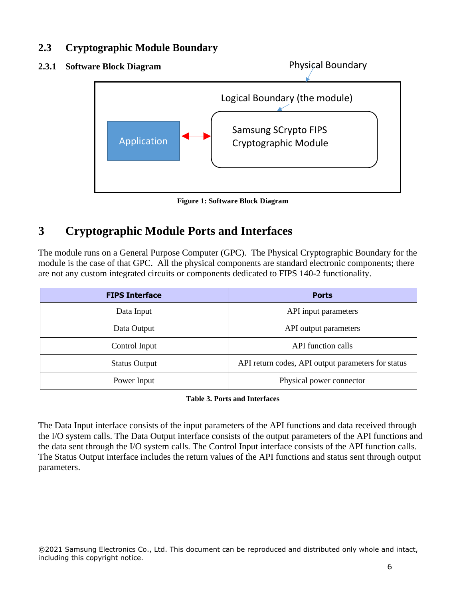#### <span id="page-5-0"></span>**2.3 Cryptographic Module Boundary**

<span id="page-5-1"></span>

**Figure 1: Software Block Diagram**

# <span id="page-5-2"></span>**3 Cryptographic Module Ports and Interfaces**

The module runs on a General Purpose Computer (GPC). The Physical Cryptographic Boundary for the module is the case of that GPC. All the physical components are standard electronic components; there are not any custom integrated circuits or components dedicated to FIPS 140-2 functionality.

| <b>FIPS Interface</b> | <b>Ports</b>                                       |
|-----------------------|----------------------------------------------------|
| Data Input            | API input parameters                               |
| Data Output           | API output parameters                              |
| Control Input         | API function calls                                 |
| <b>Status Output</b>  | API return codes, API output parameters for status |
| Power Input           | Physical power connector                           |

#### **Table 3. Ports and Interfaces**

The Data Input interface consists of the input parameters of the API functions and data received through the I/O system calls. The Data Output interface consists of the output parameters of the API functions and the data sent through the I/O system calls. The Control Input interface consists of the API function calls. The Status Output interface includes the return values of the API functions and status sent through output parameters.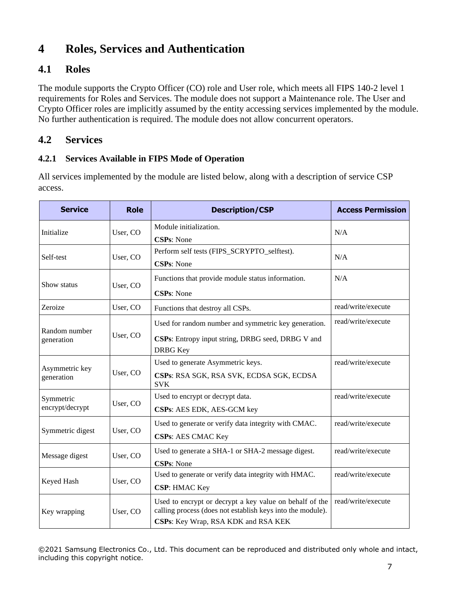# <span id="page-6-0"></span>**4 Roles, Services and Authentication**

### <span id="page-6-1"></span>**4.1 Roles**

The module supports the Crypto Officer (CO) role and User role, which meets all FIPS 140-2 level 1 requirements for Roles and Services. The module does not support a Maintenance role. The User and Crypto Officer roles are implicitly assumed by the entity accessing services implemented by the module. No further authentication is required. The module does not allow concurrent operators.

#### <span id="page-6-2"></span>**4.2 Services**

#### <span id="page-6-3"></span>**4.2.1 Services Available in FIPS Mode of Operation**

All services implemented by the module are listed below, along with a description of service CSP access.

| <b>Service</b><br><b>Role</b><br><b>Description/CSP</b>                                                                                                                                  |                                                                                    | <b>Access Permission</b>                                                                                                     |                    |
|------------------------------------------------------------------------------------------------------------------------------------------------------------------------------------------|------------------------------------------------------------------------------------|------------------------------------------------------------------------------------------------------------------------------|--------------------|
| Module initialization.<br>Initialize<br>User, CO<br><b>CSPs: None</b>                                                                                                                    |                                                                                    | N/A                                                                                                                          |                    |
| Self-test                                                                                                                                                                                | User, CO                                                                           | Perform self tests (FIPS_SCRYPTO_selftest).<br><b>CSPs: None</b>                                                             | N/A                |
| Show status                                                                                                                                                                              | Functions that provide module status information.<br>User, CO<br><b>CSPs: None</b> |                                                                                                                              | N/A                |
| Zeroize                                                                                                                                                                                  | User, CO                                                                           | Functions that destroy all CSPs.                                                                                             | read/write/execute |
| Random number<br>User, CO<br>generation                                                                                                                                                  |                                                                                    | Used for random number and symmetric key generation.<br>CSPs: Entropy input string, DRBG seed, DRBG V and<br><b>DRBG</b> Key | read/write/execute |
| Used to generate Asymmetric keys.<br>Asymmetric key<br>User, CO<br>CSPs: RSA SGK, RSA SVK, ECDSA SGK, ECDSA<br>generation<br><b>SVK</b>                                                  |                                                                                    | read/write/execute                                                                                                           |                    |
| Used to encrypt or decrypt data.<br>Symmetric<br>User, CO<br>encrypt/decrypt<br>CSPs: AES EDK, AES-GCM key                                                                               |                                                                                    | read/write/execute                                                                                                           |                    |
| Symmetric digest<br>User, CO                                                                                                                                                             |                                                                                    | Used to generate or verify data integrity with CMAC.<br><b>CSPs: AES CMAC Key</b>                                            | read/write/execute |
| User, CO<br>Message digest                                                                                                                                                               |                                                                                    | Used to generate a SHA-1 or SHA-2 message digest.<br><b>CSPs: None</b>                                                       | read/write/execute |
| Keyed Hash<br>User, CO                                                                                                                                                                   |                                                                                    | Used to generate or verify data integrity with HMAC.<br><b>CSP: HMAC Key</b>                                                 | read/write/execute |
| Used to encrypt or decrypt a key value on behalf of the<br>calling process (does not establish keys into the module).<br>User, CO<br>Key wrapping<br>CSPs: Key Wrap, RSA KDK and RSA KEK |                                                                                    | read/write/execute                                                                                                           |                    |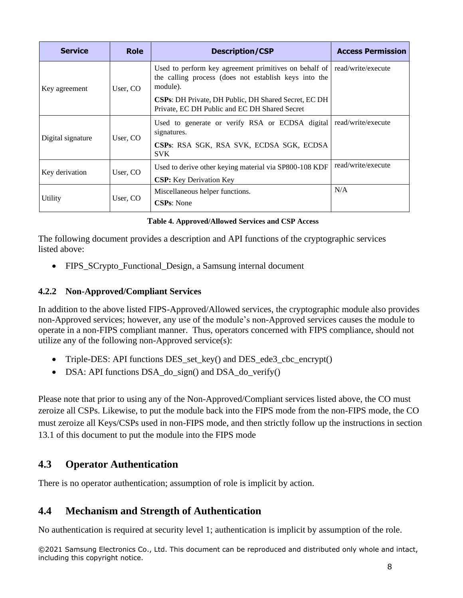| <b>Service</b>    | <b>Role</b>                                                                                                                                                                                           | <b>Description/CSP</b>                                         | <b>Access Permission</b> |
|-------------------|-------------------------------------------------------------------------------------------------------------------------------------------------------------------------------------------------------|----------------------------------------------------------------|--------------------------|
| Key agreement     | Used to perform key agreement primitives on behalf of<br>the calling process (does not establish keys into the<br>module).<br>User, CO<br><b>CSPs:</b> DH Private, DH Public, DH Shared Secret, EC DH |                                                                | read/write/execute       |
|                   |                                                                                                                                                                                                       | Private, EC DH Public and EC DH Shared Secret                  |                          |
| Digital signature | User, CO                                                                                                                                                                                              | Used to generate or verify RSA or ECDSA digital<br>signatures. | read/write/execute       |
|                   |                                                                                                                                                                                                       | CSPs: RSA SGK, RSA SVK, ECDSA SGK, ECDSA<br><b>SVK</b>         |                          |
| Key derivation    | User, CO                                                                                                                                                                                              | Used to derive other keying material via SP800-108 KDF         | read/write/execute       |
|                   |                                                                                                                                                                                                       | <b>CSP:</b> Key Derivation Key                                 |                          |
| Utility           | User, CO                                                                                                                                                                                              | Miscellaneous helper functions.                                | N/A                      |
|                   |                                                                                                                                                                                                       | <b>CSPs:</b> None                                              |                          |

**Table 4. Approved/Allowed Services and CSP Access**

The following document provides a description and API functions of the cryptographic services listed above:

• FIPS SCrypto Functional Design, a Samsung internal document

#### <span id="page-7-0"></span>**4.2.2 Non-Approved/Compliant Services**

In addition to the above listed FIPS-Approved/Allowed services, the cryptographic module also provides non-Approved services; however, any use of the module's non-Approved services causes the module to operate in a non-FIPS compliant manner. Thus, operators concerned with FIPS compliance, should not utilize any of the following non-Approved service(s):

- Triple-DES: API functions DES\_set\_key() and DES\_ede3\_cbc\_encrypt()
- DSA: API functions DSA\_do\_sign() and DSA\_do\_verify()

Please note that prior to using any of the Non-Approved/Compliant services listed above, the CO must zeroize all CSPs. Likewise, to put the module back into the FIPS mode from the non-FIPS mode, the CO must zeroize all Keys/CSPs used in non-FIPS mode, and then strictly follow up the instructions in section 13.1 of this document to put the module into the FIPS mode

#### <span id="page-7-1"></span>**4.3 Operator Authentication**

There is no operator authentication; assumption of role is implicit by action.

#### <span id="page-7-2"></span>**4.4 Mechanism and Strength of Authentication**

No authentication is required at security level 1; authentication is implicit by assumption of the role.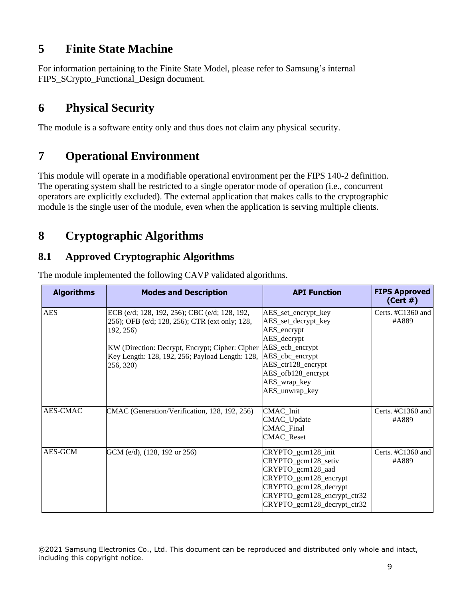## <span id="page-8-0"></span>**5 Finite State Machine**

For information pertaining to the Finite State Model, please refer to Samsung's internal FIPS\_SCrypto\_Functional\_Design document.

## <span id="page-8-1"></span>**6 Physical Security**

The module is a software entity only and thus does not claim any physical security.

# <span id="page-8-2"></span>**7 Operational Environment**

This module will operate in a modifiable operational environment per the FIPS 140-2 definition. The operating system shall be restricted to a single operator mode of operation (i.e., concurrent operators are explicitly excluded). The external application that makes calls to the cryptographic module is the single user of the module, even when the application is serving multiple clients.

# <span id="page-8-3"></span>**8 Cryptographic Algorithms**

## <span id="page-8-4"></span>**8.1 Approved Cryptographic Algorithms**

| <b>Algorithms</b> | <b>Modes and Description</b>                                                                                                                                                                                                    | <b>API Function</b>                                                                                                                                                                              | <b>FIPS Approved</b><br>(Cert#) |
|-------------------|---------------------------------------------------------------------------------------------------------------------------------------------------------------------------------------------------------------------------------|--------------------------------------------------------------------------------------------------------------------------------------------------------------------------------------------------|---------------------------------|
| <b>AES</b>        | ECB (e/d; 128, 192, 256); CBC (e/d; 128, 192,<br>256); OFB (e/d; 128, 256); CTR (ext only; 128,<br>192, 256)<br>KW (Direction: Decrypt, Encrypt; Cipher: Cipher<br>Key Length: 128, 192, 256; Payload Length: 128,<br>256, 320) | AES_set_encrypt_key<br>AES_set_decrypt_key<br>AES_encrypt<br>AES_decrypt<br>AES_ecb_encrypt<br>AES_cbc_encrypt<br>$AES_ctr128_c$ encrypt<br>AES_ofb128_encrypt<br>AES_wrap_key<br>AES_unwrap_key | Certs. $\#C1360$ and<br>#A889   |
| <b>AES-CMAC</b>   | CMAC (Generation/Verification, 128, 192, 256)                                                                                                                                                                                   | CMAC_Init<br>CMAC_Update<br><b>CMAC_Final</b><br><b>CMAC_Reset</b>                                                                                                                               | Certs. $\#C1360$ and<br>#A889   |
| AES-GCM           | GCM (e/d), (128, 192 or 256)                                                                                                                                                                                                    | CRYPTO_gcm128_init<br>CRYPTO_gcm128_setiv<br>CRYPTO_gcm128_aad<br>CRYPTO_gcm128_encrypt<br>CRYPTO_gcm128_decrypt<br>CRYPTO_gcm128_encrypt_ctr32<br>CRYPTO_gcm128_decrypt_ctr32                   | Certs. $\#C1360$ and<br>#A889   |

The module implemented the following CAVP validated algorithms.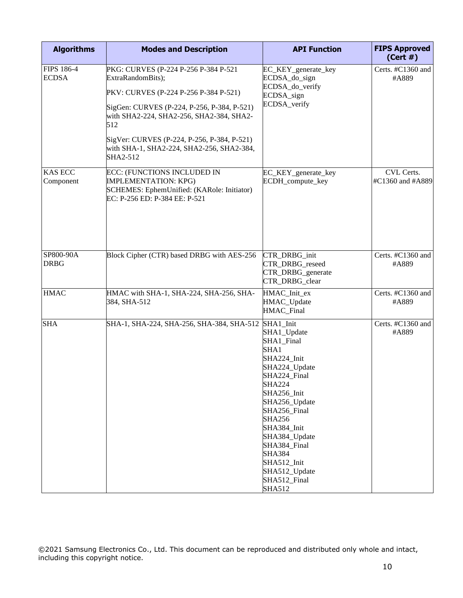| <b>Algorithms</b>                 | <b>Modes and Description</b>                                                                                                              | <b>API Function</b>                                                                                                                                                                                                                                                                                                | <b>FIPS Approved</b><br>(Cert#) |
|-----------------------------------|-------------------------------------------------------------------------------------------------------------------------------------------|--------------------------------------------------------------------------------------------------------------------------------------------------------------------------------------------------------------------------------------------------------------------------------------------------------------------|---------------------------------|
| <b>FIPS 186-4</b><br><b>ECDSA</b> | PKG: CURVES (P-224 P-256 P-384 P-521<br>ExtraRandomBits);                                                                                 | EC_KEY_generate_key<br>ECDSA_do_sign                                                                                                                                                                                                                                                                               | Certs. #C1360 and<br>#A889      |
|                                   | PKV: CURVES (P-224 P-256 P-384 P-521)                                                                                                     | ECDSA_do_verify<br>ECDSA sign                                                                                                                                                                                                                                                                                      |                                 |
|                                   | SigGen: CURVES (P-224, P-256, P-384, P-521)<br>with SHA2-224, SHA2-256, SHA2-384, SHA2-<br>512                                            | ECDSA_verify                                                                                                                                                                                                                                                                                                       |                                 |
|                                   | SigVer: CURVES (P-224, P-256, P-384, P-521)<br>with SHA-1, SHA2-224, SHA2-256, SHA2-384,<br>SHA2-512                                      |                                                                                                                                                                                                                                                                                                                    |                                 |
| <b>KAS ECC</b><br>Component       | ECC: (FUNCTIONS INCLUDED IN<br><b>IMPLEMENTATION: KPG)</b><br>SCHEMES: EphemUnified: (KARole: Initiator)<br>EC: P-256 ED: P-384 EE: P-521 | EC_KEY_generate_key<br>ECDH_compute_key                                                                                                                                                                                                                                                                            | CVL Certs.<br>#C1360 and #A889  |
| SP800-90A<br><b>DRBG</b>          | Block Cipher (CTR) based DRBG with AES-256                                                                                                | CTR_DRBG_init<br>CTR_DRBG_reseed<br>CTR_DRBG_generate<br>CTR_DRBG_clear                                                                                                                                                                                                                                            | Certs. #C1360 and<br>#A889      |
| <b>HMAC</b>                       | HMAC with SHA-1, SHA-224, SHA-256, SHA-<br>384, SHA-512                                                                                   | HMAC_Init_ex<br>HMAC_Update<br>HMAC_Final                                                                                                                                                                                                                                                                          | Certs. #C1360 and<br>#A889      |
| <b>SHA</b>                        | SHA-1, SHA-224, SHA-256, SHA-384, SHA-512                                                                                                 | SHA1_Init<br>SHA1_Update<br>SHA1_Final<br>SHA1<br>SHA224_Init<br>SHA224_Update<br>SHA224_Final<br><b>SHA224</b><br>SHA256_Init<br>SHA256_Update<br>SHA256 Final<br><b>SHA256</b><br>SHA384_Init<br>SHA384_Update<br>SHA384 Final<br><b>SHA384</b><br>SHA512_Init<br>SHA512_Update<br>SHA512_Final<br><b>SHA512</b> | Certs. #C1360 and<br>#A889      |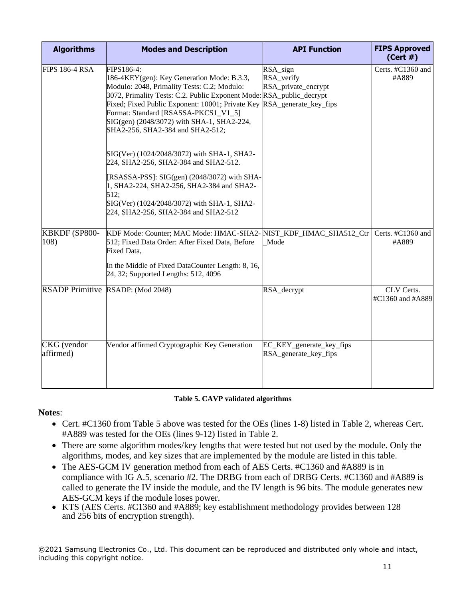| <b>Algorithms</b>               | <b>Modes and Description</b>                                                                                                                                                                                                                                                                                                                                                                                                                                                                                                                                                                                                                                            | <b>API Function</b>                               | <b>FIPS Approved</b><br>(Cert#) |
|---------------------------------|-------------------------------------------------------------------------------------------------------------------------------------------------------------------------------------------------------------------------------------------------------------------------------------------------------------------------------------------------------------------------------------------------------------------------------------------------------------------------------------------------------------------------------------------------------------------------------------------------------------------------------------------------------------------------|---------------------------------------------------|---------------------------------|
| <b>FIPS 186-4 RSA</b>           | FIPS186-4:<br>186-4KEY(gen): Key Generation Mode: B.3.3,<br>Modulo: 2048, Primality Tests: C.2; Modulo:<br>3072, Primality Tests: C.2. Public Exponent Mode: RSA_public_decrypt<br>Fixed; Fixed Public Exponent: 10001; Private Key RSA_generate_key_fips<br>Format: Standard [RSASSA-PKCS1_V1_5]<br>SIG(gen) (2048/3072) with SHA-1, SHA2-224,<br>SHA2-256, SHA2-384 and SHA2-512;<br>SIG(Ver) (1024/2048/3072) with SHA-1, SHA2-<br>224, SHA2-256, SHA2-384 and SHA2-512.<br>[RSASSA-PSS]: SIG(gen) (2048/3072) with SHA-<br>1, SHA2-224, SHA2-256, SHA2-384 and SHA2-<br>512;<br>SIG(Ver) (1024/2048/3072) with SHA-1, SHA2-<br>224, SHA2-256, SHA2-384 and SHA2-512 | RSA_sign<br>RSA_verify<br>RSA_private_encrypt     | Certs. #C1360 and<br>#A889      |
| KBKDF (SP800-<br>108)           | KDF Mode: Counter; MAC Mode: HMAC-SHA2-<br>512; Fixed Data Order: After Fixed Data, Before<br>Fixed Data,<br>In the Middle of Fixed DataCounter Length: 8, 16,<br>24, 32; Supported Lengths: 512, 4096                                                                                                                                                                                                                                                                                                                                                                                                                                                                  | NIST_KDF_HMAC_SHA512_Ctr<br>Mode                  | Certs. #C1360 and<br>#A889      |
|                                 | RSADP Primitive RSADP: (Mod 2048)                                                                                                                                                                                                                                                                                                                                                                                                                                                                                                                                                                                                                                       | RSA_decrypt                                       | CLV Certs.<br>#C1360 and #A889  |
| <b>CKG</b> (vendor<br>affirmed) | Vendor affirmed Cryptographic Key Generation                                                                                                                                                                                                                                                                                                                                                                                                                                                                                                                                                                                                                            | EC_KEY_generate_key_fips<br>RSA_generate_key_fips |                                 |

#### **Table 5. CAVP validated algorithms**

#### **Notes**:

- Cert. #C1360 from Table 5 above was tested for the OEs (lines 1-8) listed in Table 2, whereas Cert. #A889 was tested for the OEs (lines 9-12) listed in Table 2.
- There are some algorithm modes/key lengths that were tested but not used by the module. Only the algorithms, modes, and key sizes that are implemented by the module are listed in this table.
- The AES-GCM IV generation method from each of AES Certs. #C1360 and #A889 is in compliance with IG A.5, scenario #2. The DRBG from each of DRBG Certs. #C1360 and #A889 is called to generate the IV inside the module, and the IV length is 96 bits. The module generates new AES-GCM keys if the module loses power.
- KTS (AES Certs. #C1360 and #A889; key establishment methodology provides between 128 and 256 bits of encryption strength).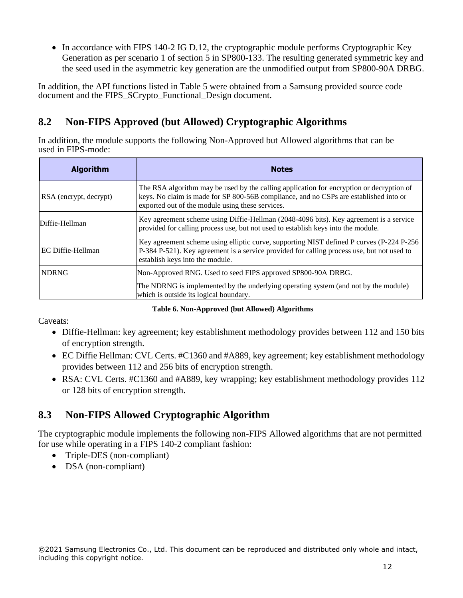• In accordance with FIPS 140-2 IG D.12, the cryptographic module performs Cryptographic Key Generation as per scenario 1 of section 5 in SP800-133. The resulting generated symmetric key and the seed used in the asymmetric key generation are the unmodified output from SP800-90A DRBG.

In addition, the API functions listed in Table 5 were obtained from a Samsung provided source code document and the FIPS\_SCrypto\_Functional\_Design document.

## <span id="page-11-0"></span>**8.2 Non-FIPS Approved (but Allowed) Cryptographic Algorithms**

In addition, the module supports the following Non-Approved but Allowed algorithms that can be used in FIPS-mode:

| <b>Algorithm</b>       | <b>Notes</b>                                                                                                                                                                                                                          |
|------------------------|---------------------------------------------------------------------------------------------------------------------------------------------------------------------------------------------------------------------------------------|
| RSA (encrypt, decrypt) | The RSA algorithm may be used by the calling application for encryption or decryption of<br>keys. No claim is made for SP 800-56B compliance, and no CSPs are established into or<br>exported out of the module using these services. |
| Diffie-Hellman         | Key agreement scheme using Diffie-Hellman (2048-4096 bits). Key agreement is a service<br>provided for calling process use, but not used to establish keys into the module.                                                           |
| EC Diffie-Hellman      | Key agreement scheme using elliptic curve, supporting NIST defined P curves (P-224 P-256<br>P-384 P-521). Key agreement is a service provided for calling process use, but not used to<br>establish keys into the module.             |
| <b>NDRNG</b>           | Non-Approved RNG. Used to seed FIPS approved SP800-90A DRBG.<br>The NDRNG is implemented by the underlying operating system (and not by the module)<br>which is outside its logical boundary.                                         |

**Table 6. Non-Approved (but Allowed) Algorithms**

Caveats:

- Diffie-Hellman: key agreement; key establishment methodology provides between 112 and 150 bits of encryption strength.
- EC Diffie Hellman: CVL Certs. #C1360 and #A889, key agreement; key establishment methodology provides between 112 and 256 bits of encryption strength.
- RSA: CVL Certs. #C1360 and #A889, key wrapping; key establishment methodology provides 112 or 128 bits of encryption strength.

## <span id="page-11-1"></span>**8.3 Non-FIPS Allowed Cryptographic Algorithm**

The cryptographic module implements the following non-FIPS Allowed algorithms that are not permitted for use while operating in a FIPS 140-2 compliant fashion:

- Triple-DES (non-compliant)
- DSA (non-compliant)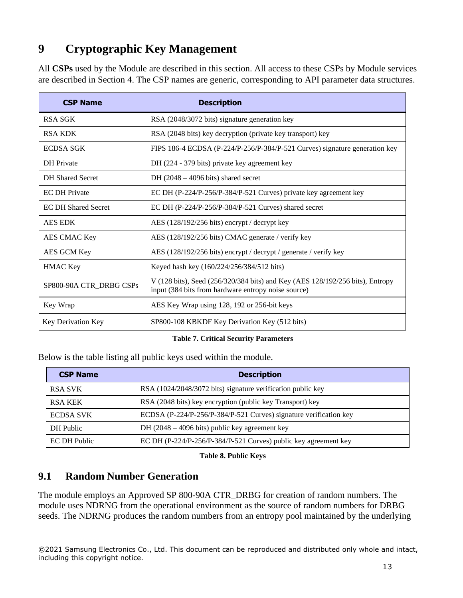# <span id="page-12-0"></span>**9 Cryptographic Key Management**

All **CSPs** used by the Module are described in this section. All access to these CSPs by Module services are described in Section 4. The CSP names are generic, corresponding to API parameter data structures.

| <b>CSP Name</b>            | <b>Description</b>                                                                                                                   |
|----------------------------|--------------------------------------------------------------------------------------------------------------------------------------|
| <b>RSA SGK</b>             | RSA (2048/3072 bits) signature generation key                                                                                        |
| <b>RSA KDK</b>             | RSA (2048 bits) key decryption (private key transport) key                                                                           |
| <b>ECDSA SGK</b>           | FIPS 186-4 ECDSA (P-224/P-256/P-384/P-521 Curves) signature generation key                                                           |
| DH Private                 | DH (224 - 379 bits) private key agreement key                                                                                        |
| <b>DH</b> Shared Secret    | DH $(2048 - 4096 \text{ bits})$ shared secret                                                                                        |
| <b>EC DH Private</b>       | EC DH (P-224/P-256/P-384/P-521 Curves) private key agreement key                                                                     |
| <b>EC DH Shared Secret</b> | EC DH (P-224/P-256/P-384/P-521 Curves) shared secret                                                                                 |
| <b>AES EDK</b>             | AES (128/192/256 bits) encrypt / decrypt key                                                                                         |
| AES CMAC Key               | AES (128/192/256 bits) CMAC generate / verify key                                                                                    |
| AES GCM Key                | AES (128/192/256 bits) encrypt / decrypt / generate / verify key                                                                     |
| <b>HMAC Key</b>            | Keyed hash key (160/224/256/384/512 bits)                                                                                            |
| SP800-90A CTR_DRBG CSPs    | V (128 bits), Seed (256/320/384 bits) and Key (AES 128/192/256 bits), Entropy<br>input (384 bits from hardware entropy noise source) |
| Key Wrap                   | AES Key Wrap using 128, 192 or 256-bit keys                                                                                          |
| Key Derivation Key         | SP800-108 KBKDF Key Derivation Key (512 bits)                                                                                        |

#### **Table 7. Critical Security Parameters**

Below is the table listing all public keys used within the module.

| <b>CSP Name</b>  | <b>Description</b>                                                |
|------------------|-------------------------------------------------------------------|
| <b>RSA SVK</b>   | RSA (1024/2048/3072 bits) signature verification public key       |
| <b>RSA KEK</b>   | RSA (2048 bits) key encryption (public key Transport) key         |
| <b>ECDSA SVK</b> | ECDSA (P-224/P-256/P-384/P-521 Curves) signature verification key |
| DH Public        | DH $(2048 – 4096 \text{ bits})$ public key agreement key          |
| EC DH Public     | EC DH (P-224/P-256/P-384/P-521 Curves) public key agreement key   |

#### **Table 8. Public Keys**

#### <span id="page-12-1"></span>**9.1 Random Number Generation**

The module employs an Approved SP 800-90A CTR\_DRBG for creation of random numbers. The module uses NDRNG from the operational environment as the source of random numbers for DRBG seeds. The NDRNG produces the random numbers from an entropy pool maintained by the underlying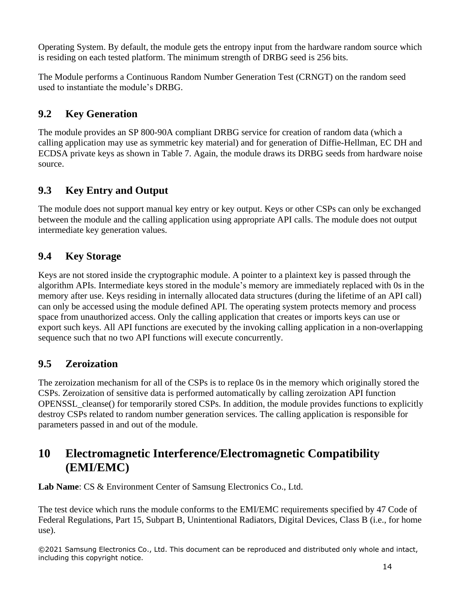Operating System. By default, the module gets the entropy input from the hardware random source which is residing on each tested platform. The minimum strength of DRBG seed is 256 bits.

The Module performs a Continuous Random Number Generation Test (CRNGT) on the random seed used to instantiate the module's DRBG.

## <span id="page-13-0"></span>**9.2 Key Generation**

The module provides an SP 800-90A compliant DRBG service for creation of random data (which a calling application may use as symmetric key material) and for generation of Diffie-Hellman, EC DH and ECDSA private keys as shown in Table 7. Again, the module draws its DRBG seeds from hardware noise source.

## <span id="page-13-1"></span>**9.3 Key Entry and Output**

The module does not support manual key entry or key output. Keys or other CSPs can only be exchanged between the module and the calling application using appropriate API calls. The module does not output intermediate key generation values.

## <span id="page-13-2"></span>**9.4 Key Storage**

Keys are not stored inside the cryptographic module. A pointer to a plaintext key is passed through the algorithm APIs. Intermediate keys stored in the module's memory are immediately replaced with 0s in the memory after use. Keys residing in internally allocated data structures (during the lifetime of an API call) can only be accessed using the module defined API. The operating system protects memory and process space from unauthorized access. Only the calling application that creates or imports keys can use or export such keys. All API functions are executed by the invoking calling application in a non-overlapping sequence such that no two API functions will execute concurrently.

## <span id="page-13-3"></span>**9.5 Zeroization**

The zeroization mechanism for all of the CSPs is to replace 0s in the memory which originally stored the CSPs. Zeroization of sensitive data is performed automatically by calling zeroization API function OPENSSL\_cleanse() for temporarily stored CSPs. In addition, the module provides functions to explicitly destroy CSPs related to random number generation services. The calling application is responsible for parameters passed in and out of the module.

## <span id="page-13-4"></span>**10 Electromagnetic Interference/Electromagnetic Compatibility (EMI/EMC)**

Lab Name: CS & Environment Center of Samsung Electronics Co., Ltd.

The test device which runs the module conforms to the EMI/EMC requirements specified by 47 Code of Federal Regulations, Part 15, Subpart B, Unintentional Radiators, Digital Devices, Class B (i.e., for home use).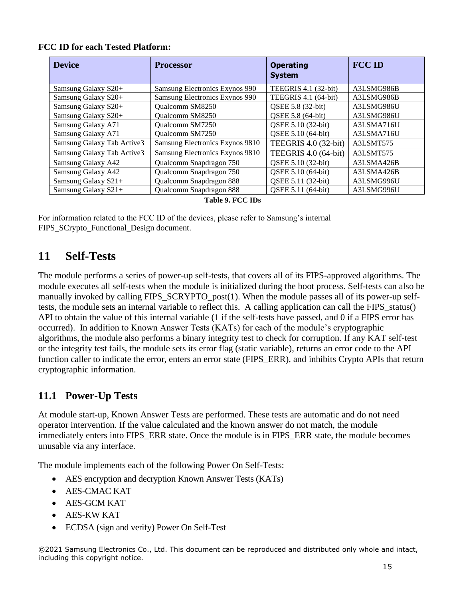| <b>Device</b>              | <b>Processor</b>                | <b>Operating</b><br><b>System</b> | <b>FCC ID</b> |  |
|----------------------------|---------------------------------|-----------------------------------|---------------|--|
| Samsung Galaxy S20+        | Samsung Electronics Exynos 990  | TEEGRIS 4.1 (32-bit)              | A3LSMG986B    |  |
| Samsung Galaxy S20+        | Samsung Electronics Exynos 990  | TEEGRIS 4.1 (64-bit)              | A3LSMG986B    |  |
| Samsung Galaxy S20+        | Qualcomm SM8250                 | QSEE 5.8 (32-bit)                 | A3LSMG986U    |  |
| Samsung Galaxy S20+        | Qualcomm SM8250                 | QSEE 5.8 (64-bit)                 | A3LSMG986U    |  |
| Samsung Galaxy A71         | <b>Oualcomm SM7250</b>          | QSEE 5.10 (32-bit)                | A3LSMA716U    |  |
| Samsung Galaxy A71         | Qualcomm SM7250                 | QSEE 5.10 (64-bit)                | A3LSMA716U    |  |
| Samsung Galaxy Tab Active3 | Samsung Electronics Exynos 9810 | TEEGRIS 4.0 (32-bit)              | A3LSMT575     |  |
| Samsung Galaxy Tab Active3 | Samsung Electronics Exynos 9810 | TEEGRIS 4.0 (64-bit)              | A3LSMT575     |  |
| Samsung Galaxy A42         | Qualcomm Snapdragon 750         | QSEE 5.10 (32-bit)                | A3LSMA426B    |  |
| Samsung Galaxy A42         | Qualcomm Snapdragon 750         | QSEE 5.10 (64-bit)                | A3LSMA426B    |  |
| Samsung Galaxy S21+        | Qualcomm Snapdragon 888         | QSEE 5.11 (32-bit)                | A3LSMG996U    |  |
| Samsung Galaxy S21+        | Qualcomm Snapdragon 888         | QSEE 5.11 (64-bit)                | A3LSMG996U    |  |
| <b>Table 9. FCC IDs</b>    |                                 |                                   |               |  |

For information related to the FCC ID of the devices, please refer to Samsung's internal FIPS\_SCrypto\_Functional\_Design document.

## <span id="page-14-0"></span>**11 Self-Tests**

The module performs a series of power-up self-tests, that covers all of its FIPS-approved algorithms. The module executes all self-tests when the module is initialized during the boot process. Self-tests can also be manually invoked by calling FIPS\_SCRYPTO\_post(1). When the module passes all of its power-up selftests, the module sets an internal variable to reflect this. A calling application can call the FIPS\_status() API to obtain the value of this internal variable (1 if the self-tests have passed, and 0 if a FIPS error has occurred). In addition to Known Answer Tests (KATs) for each of the module's cryptographic algorithms, the module also performs a binary integrity test to check for corruption. If any KAT self-test or the integrity test fails, the module sets its error flag (static variable), returns an error code to the API function caller to indicate the error, enters an error state (FIPS\_ERR), and inhibits Crypto APIs that return cryptographic information.

## <span id="page-14-1"></span>**11.1 Power-Up Tests**

At module start-up, Known Answer Tests are performed. These tests are automatic and do not need operator intervention. If the value calculated and the known answer do not match, the module immediately enters into FIPS\_ERR state. Once the module is in FIPS\_ERR state, the module becomes unusable via any interface.

The module implements each of the following Power On Self-Tests:

- AES encryption and decryption Known Answer Tests (KATs)
- AES-CMAC KAT
- AES-GCM KAT
- AES-KW KAT
- ECDSA (sign and verify) Power On Self-Test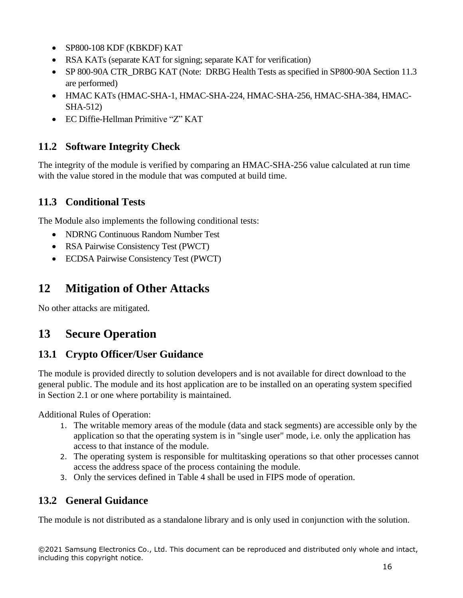- SP800-108 KDF (KBKDF) KAT
- RSA KATs (separate KAT for signing; separate KAT for verification)
- SP 800-90A CTR\_DRBG KAT (Note: DRBG Health Tests as specified in SP800-90A Section 11.3 are performed)
- HMAC KATs (HMAC-SHA-1, HMAC-SHA-224, HMAC-SHA-256, HMAC-SHA-384, HMAC-SHA-512)
- EC Diffie-Hellman Primitive "Z" KAT

## <span id="page-15-0"></span>**11.2 Software Integrity Check**

The integrity of the module is verified by comparing an HMAC-SHA-256 value calculated at run time with the value stored in the module that was computed at build time.

#### <span id="page-15-1"></span>**11.3 Conditional Tests**

The Module also implements the following conditional tests:

- NDRNG Continuous Random Number Test
- RSA Pairwise Consistency Test (PWCT)
- ECDSA Pairwise Consistency Test (PWCT)

## <span id="page-15-2"></span>**12 Mitigation of Other Attacks**

No other attacks are mitigated.

## <span id="page-15-3"></span>**13 Secure Operation**

## <span id="page-15-4"></span>**13.1 Crypto Officer/User Guidance**

The module is provided directly to solution developers and is not available for direct download to the general public. The module and its host application are to be installed on an operating system specified in Section 2.1 or one where portability is maintained.

Additional Rules of Operation:

- 1. The writable memory areas of the module (data and stack segments) are accessible only by the application so that the operating system is in "single user" mode, i.e. only the application has access to that instance of the module.
- 2. The operating system is responsible for multitasking operations so that other processes cannot access the address space of the process containing the module.
- 3. Only the services defined in Table 4 shall be used in FIPS mode of operation.

#### <span id="page-15-5"></span>**13.2 General Guidance**

The module is not distributed as a standalone library and is only used in conjunction with the solution.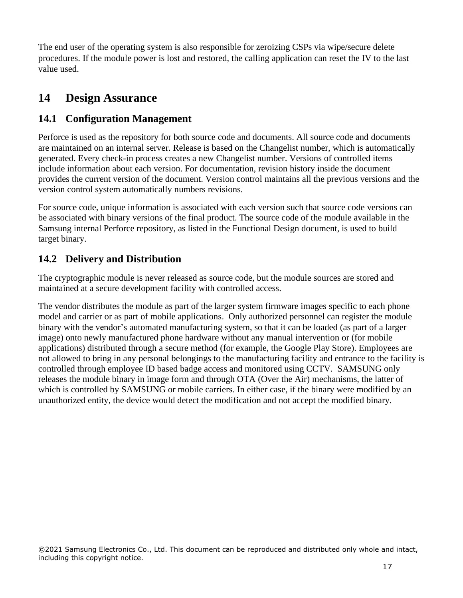The end user of the operating system is also responsible for zeroizing CSPs via wipe/secure delete procedures. If the module power is lost and restored, the calling application can reset the IV to the last value used.

## <span id="page-16-0"></span>**14 Design Assurance**

### <span id="page-16-1"></span>**14.1 Configuration Management**

Perforce is used as the repository for both source code and documents. All source code and documents are maintained on an internal server. Release is based on the Changelist number, which is automatically generated. Every check-in process creates a new Changelist number. Versions of controlled items include information about each version. For documentation, revision history inside the document provides the current version of the document. Version control maintains all the previous versions and the version control system automatically numbers revisions.

For source code, unique information is associated with each version such that source code versions can be associated with binary versions of the final product. The source code of the module available in the Samsung internal Perforce repository, as listed in the Functional Design document, is used to build target binary.

## <span id="page-16-2"></span>**14.2 Delivery and Distribution**

The cryptographic module is never released as source code, but the module sources are stored and maintained at a secure development facility with controlled access.

The vendor distributes the module as part of the larger system firmware images specific to each phone model and carrier or as part of mobile applications. Only authorized personnel can register the module binary with the vendor's automated manufacturing system, so that it can be loaded (as part of a larger image) onto newly manufactured phone hardware without any manual intervention or (for mobile applications) distributed through a secure method (for example, the Google Play Store). Employees are not allowed to bring in any personal belongings to the manufacturing facility and entrance to the facility is controlled through employee ID based badge access and monitored using CCTV. SAMSUNG only releases the module binary in image form and through OTA (Over the Air) mechanisms, the latter of which is controlled by SAMSUNG or mobile carriers. In either case, if the binary were modified by an unauthorized entity, the device would detect the modification and not accept the modified binary.